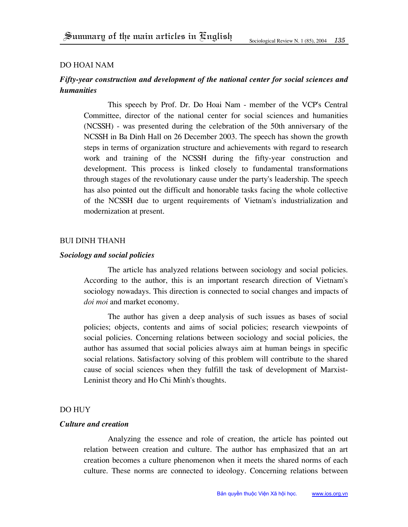### Do Hoai Nam

# *Fifty-year construction and development of the national center for social sciences and humanities*

This speech by Prof. Dr. Do Hoai Nam - member of the VCP's Central Committee, director of the national center for social sciences and humanities (NCSSH) - was presented during the celebration of the 50th anniversary of the NCSSH in Ba Dinh Hall on 26 December 2003. The speech has shown the growth steps in terms of organization structure and achievements with regard to research work and training of the NCSSH during the fifty-year construction and development. This process is linked closely to fundamental transformations through stages of the revolutionary cause under the party's leadership. The speech has also pointed out the difficult and honorable tasks facing the whole collective of the NCSSH due to urgent requirements of Vietnam's industrialization and modernization at present.

#### Bui dinh Thanh

#### *Sociology and social policies*

The article has analyzed relations between sociology and social policies. According to the author, this is an important research direction of Vietnam's sociology nowadays. This direction is connected to social changes and impacts of *doi moi* and market economy.

The author has given a deep analysis of such issues as bases of social policies; objects, contents and aims of social policies; research viewpoints of social policies. Concerning relations between sociology and social policies, the author has assumed that social policies always aim at human beings in specific social relations. Satisfactory solving of this problem will contribute to the shared cause of social sciences when they fulfill the task of development of Marxist-Leninist theory and Ho Chi Minh's thoughts.

## Do Huy

# *Culture and creation*

Analyzing the essence and role of creation, the article has pointed out relation between creation and culture. The author has emphasized that an art creation becomes a culture phenomenon when it meets the shared norms of each culture. These norms are connected to ideology. Concerning relations between